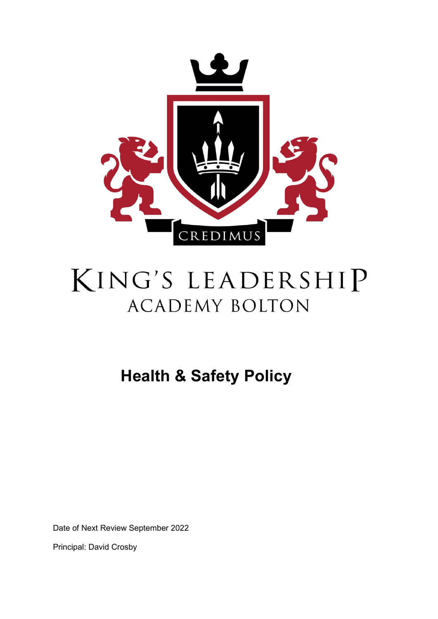

# KING'S LEADERSHIP **ACADEMY BOLTON**

**Health & Safety Policy** 

Date of Next Review September 2022

Principal: David Crosby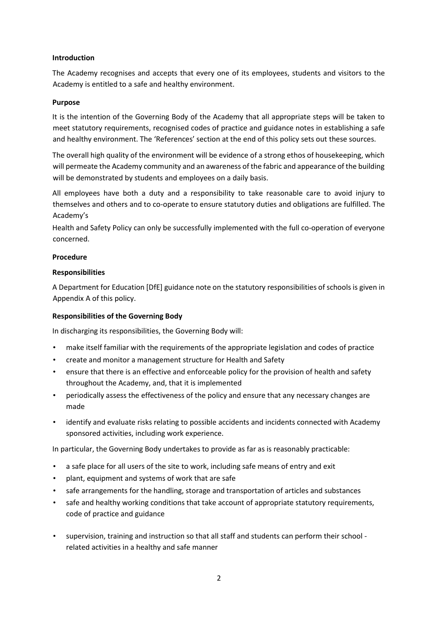# **Introduction**

The Academy recognises and accepts that every one of its employees, students and visitors to the Academy is entitled to a safe and healthy environment.

# **Purpose**

It is the intention of the Governing Body of the Academy that all appropriate steps will be taken to meet statutory requirements, recognised codes of practice and guidance notes in establishing a safe and healthy environment. The 'References' section at the end of this policy sets out these sources.

The overall high quality of the environment will be evidence of a strong ethos of housekeeping, which will permeate the Academy community and an awareness of the fabric and appearance of the building will be demonstrated by students and employees on a daily basis.

All employees have both a duty and a responsibility to take reasonable care to avoid injury to themselves and others and to co-operate to ensure statutory duties and obligations are fulfilled. The Academy's

Health and Safety Policy can only be successfully implemented with the full co-operation of everyone concerned.

# **Procedure**

# **Responsibilities**

A Department for Education [DfE] guidance note on the statutory responsibilities of schools is given in Appendix A of this policy.

# **Responsibilities of the Governing Body**

In discharging its responsibilities, the Governing Body will:

- make itself familiar with the requirements of the appropriate legislation and codes of practice
- create and monitor a management structure for Health and Safety
- ensure that there is an effective and enforceable policy for the provision of health and safety throughout the Academy, and, that it is implemented
- periodically assess the effectiveness of the policy and ensure that any necessary changes are made
- identify and evaluate risks relating to possible accidents and incidents connected with Academy sponsored activities, including work experience.

In particular, the Governing Body undertakes to provide as far as is reasonably practicable:

- a safe place for all users of the site to work, including safe means of entry and exit
- plant, equipment and systems of work that are safe
- safe arrangements for the handling, storage and transportation of articles and substances
- safe and healthy working conditions that take account of appropriate statutory requirements, code of practice and guidance
- supervision, training and instruction so that all staff and students can perform their school related activities in a healthy and safe manner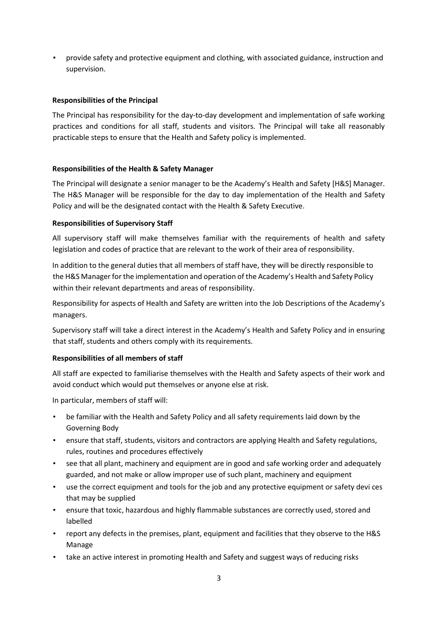• provide safety and protective equipment and clothing, with associated guidance, instruction and supervision.

# **Responsibilities of the Principal**

The Principal has responsibility for the day-to-day development and implementation of safe working practices and conditions for all staff, students and visitors. The Principal will take all reasonably practicable steps to ensure that the Health and Safety policy is implemented.

#### **Responsibilities of the Health & Safety Manager**

The Principal will designate a senior manager to be the Academy's Health and Safety [H&S] Manager. The H&S Manager will be responsible for the day to day implementation of the Health and Safety Policy and will be the designated contact with the Health & Safety Executive.

# **Responsibilities of Supervisory Staff**

All supervisory staff will make themselves familiar with the requirements of health and safety legislation and codes of practice that are relevant to the work of their area of responsibility.

In addition to the general duties that all members of staff have, they will be directly responsible to the H&S Manager for the implementation and operation of the Academy's Health and Safety Policy within their relevant departments and areas of responsibility.

Responsibility for aspects of Health and Safety are written into the Job Descriptions of the Academy's managers.

Supervisory staff will take a direct interest in the Academy's Health and Safety Policy and in ensuring that staff, students and others comply with its requirements.

#### **Responsibilities of all members of staff**

All staff are expected to familiarise themselves with the Health and Safety aspects of their work and avoid conduct which would put themselves or anyone else at risk.

In particular, members of staff will:

- be familiar with the Health and Safety Policy and all safety requirements laid down by the Governing Body
- ensure that staff, students, visitors and contractors are applying Health and Safety regulations, rules, routines and procedures effectively
- see that all plant, machinery and equipment are in good and safe working order and adequately guarded, and not make or allow improper use of such plant, machinery and equipment
- use the correct equipment and tools for the job and any protective equipment or safety devi ces that may be supplied
- ensure that toxic, hazardous and highly flammable substances are correctly used, stored and labelled
- report any defects in the premises, plant, equipment and facilities that they observe to the H&S Manage
- take an active interest in promoting Health and Safety and suggest ways of reducing risks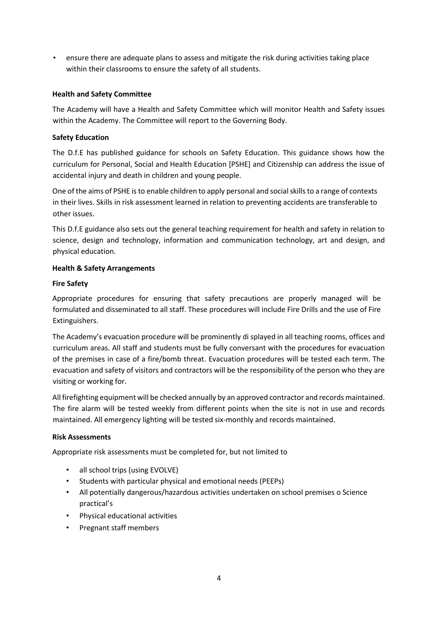• ensure there are adequate plans to assess and mitigate the risk during activities taking place within their classrooms to ensure the safety of all students.

# **Health and Safety Committee**

The Academy will have a Health and Safety Committee which will monitor Health and Safety issues within the Academy. The Committee will report to the Governing Body.

# **Safety Education**

The D.f.E has published guidance for schools on Safety Education. This guidance shows how the curriculum for Personal, Social and Health Education [PSHE] and Citizenship can address the issue of accidental injury and death in children and young people.

One of the aims of PSHE is to enable children to apply personal and social skills to a range of contexts in their lives. Skills in risk assessment learned in relation to preventing accidents are transferable to other issues.

This D.f.E guidance also sets out the general teaching requirement for health and safety in relation to science, design and technology, information and communication technology, art and design, and physical education.

# **Health & Safety Arrangements**

# **Fire Safety**

Appropriate procedures for ensuring that safety precautions are properly managed will be formulated and disseminated to all staff. These procedures will include Fire Drills and the use of Fire Extinguishers.

The Academy's evacuation procedure will be prominently di splayed in all teaching rooms, offices and curriculum areas. All staff and students must be fully conversant with the procedures for evacuation of the premises in case of a fire/bomb threat. Evacuation procedures will be tested each term. The evacuation and safety of visitors and contractors will be the responsibility of the person who they are visiting or working for.

All firefighting equipment will be checked annually by an approved contractor and records maintained. The fire alarm will be tested weekly from different points when the site is not in use and records maintained. All emergency lighting will be tested six-monthly and records maintained.

#### **Risk Assessments**

Appropriate risk assessments must be completed for, but not limited to

- all school trips (using EVOLVE)
- Students with particular physical and emotional needs (PEEPs)
- All potentially dangerous/hazardous activities undertaken on school premises o Science practical's
- Physical educational activities
- Pregnant staff members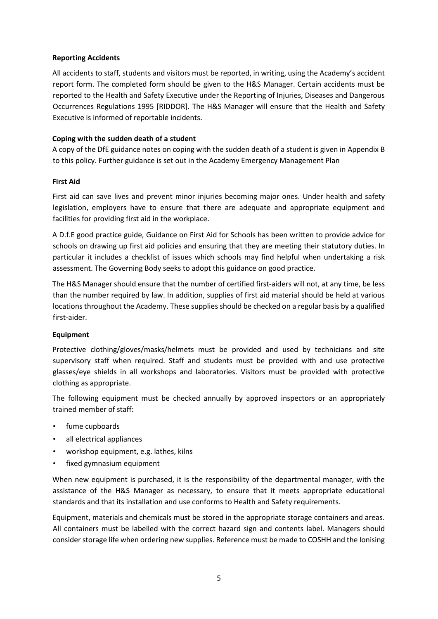# **Reporting Accidents**

All accidents to staff, students and visitors must be reported, in writing, using the Academy's accident report form. The completed form should be given to the H&S Manager. Certain accidents must be reported to the Health and Safety Executive under the Reporting of Injuries, Diseases and Dangerous Occurrences Regulations 1995 [RIDDOR]. The H&S Manager will ensure that the Health and Safety Executive is informed of reportable incidents.

# **Coping with the sudden death of a student**

A copy of the DfE guidance notes on coping with the sudden death of a student is given in Appendix B to this policy. Further guidance is set out in the Academy Emergency Management Plan

# **First Aid**

First aid can save lives and prevent minor injuries becoming major ones. Under health and safety legislation, employers have to ensure that there are adequate and appropriate equipment and facilities for providing first aid in the workplace.

A D.f.E good practice guide, Guidance on First Aid for Schools has been written to provide advice for schools on drawing up first aid policies and ensuring that they are meeting their statutory duties. In particular it includes a checklist of issues which schools may find helpful when undertaking a risk assessment. The Governing Body seeks to adopt this guidance on good practice.

The H&S Manager should ensure that the number of certified first-aiders will not, at any time, be less than the number required by law. In addition, supplies of first aid material should be held at various locations throughout the Academy. These supplies should be checked on a regular basis by a qualified first-aider.

#### **Equipment**

Protective clothing/gloves/masks/helmets must be provided and used by technicians and site supervisory staff when required. Staff and students must be provided with and use protective glasses/eye shields in all workshops and laboratories. Visitors must be provided with protective clothing as appropriate.

The following equipment must be checked annually by approved inspectors or an appropriately trained member of staff:

- fume cupboards
- all electrical appliances
- workshop equipment, e.g. lathes, kilns
- fixed gymnasium equipment

When new equipment is purchased, it is the responsibility of the departmental manager, with the assistance of the H&S Manager as necessary, to ensure that it meets appropriate educational standards and that its installation and use conforms to Health and Safety requirements.

Equipment, materials and chemicals must be stored in the appropriate storage containers and areas. All containers must be labelled with the correct hazard sign and contents label. Managers should consider storage life when ordering new supplies. Reference must be made to COSHH and the Ionising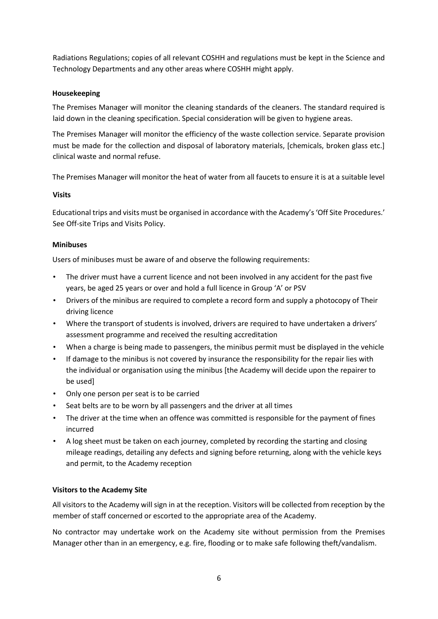Radiations Regulations; copies of all relevant COSHH and regulations must be kept in the Science and Technology Departments and any other areas where COSHH might apply.

# **Housekeeping**

The Premises Manager will monitor the cleaning standards of the cleaners. The standard required is laid down in the cleaning specification. Special consideration will be given to hygiene areas.

The Premises Manager will monitor the efficiency of the waste collection service. Separate provision must be made for the collection and disposal of laboratory materials, [chemicals, broken glass etc.] clinical waste and normal refuse.

The Premises Manager will monitor the heat of water from all faucets to ensure it is at a suitable level

# **Visits**

Educational trips and visits must be organised in accordance with the Academy's 'Off Site Procedures.' See Off-site Trips and Visits Policy.

# **Minibuses**

Users of minibuses must be aware of and observe the following requirements:

- The driver must have a current licence and not been involved in any accident for the past five years, be aged 25 years or over and hold a full licence in Group 'A' or PSV
- Drivers of the minibus are required to complete a record form and supply a photocopy of Their driving licence
- Where the transport of students is involved, drivers are required to have undertaken a drivers' assessment programme and received the resulting accreditation
- When a charge is being made to passengers, the minibus permit must be displayed in the vehicle
- If damage to the minibus is not covered by insurance the responsibility for the repair lies with the individual or organisation using the minibus [the Academy will decide upon the repairer to be used]
- Only one person per seat is to be carried
- Seat belts are to be worn by all passengers and the driver at all times
- The driver at the time when an offence was committed is responsible for the payment of fines incurred
- A log sheet must be taken on each journey, completed by recording the starting and closing mileage readings, detailing any defects and signing before returning, along with the vehicle keys and permit, to the Academy reception

# **Visitors to the Academy Site**

All visitors to the Academy will sign in at the reception. Visitors will be collected from reception by the member of staff concerned or escorted to the appropriate area of the Academy.

No contractor may undertake work on the Academy site without permission from the Premises Manager other than in an emergency, e.g. fire, flooding or to make safe following theft/vandalism.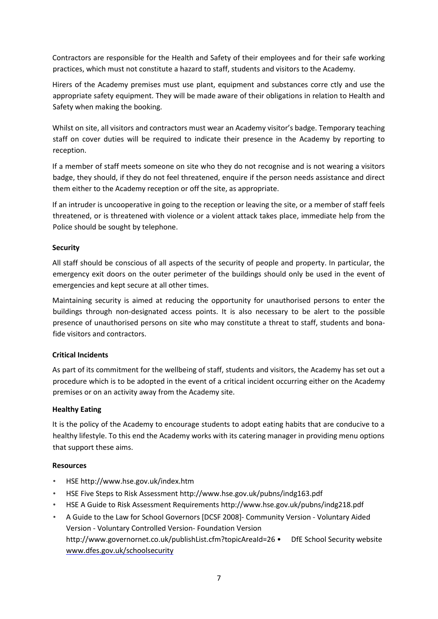Contractors are responsible for the Health and Safety of their employees and for their safe working practices, which must not constitute a hazard to staff, students and visitors to the Academy.

Hirers of the Academy premises must use plant, equipment and substances corre ctly and use the appropriate safety equipment. They will be made aware of their obligations in relation to Health and Safety when making the booking.

Whilst on site, all visitors and contractors must wear an Academy visitor's badge. Temporary teaching staff on cover duties will be required to indicate their presence in the Academy by reporting to reception.

If a member of staff meets someone on site who they do not recognise and is not wearing a visitors badge, they should, if they do not feel threatened, enquire if the person needs assistance and direct them either to the Academy reception or off the site, as appropriate.

If an intruder is uncooperative in going to the reception or leaving the site, or a member of staff feels threatened, or is threatened with violence or a violent attack takes place, immediate help from the Police should be sought by telephone.

# **Security**

All staff should be conscious of all aspects of the security of people and property. In particular, the emergency exit doors on the outer perimeter of the buildings should only be used in the event of emergencies and kept secure at all other times.

Maintaining security is aimed at reducing the opportunity for unauthorised persons to enter the buildings through non-designated access points. It is also necessary to be alert to the possible presence of unauthorised persons on site who may constitute a threat to staff, students and bonafide visitors and contractors.

# **Critical Incidents**

As part of its commitment for the wellbeing of staff, students and visitors, the Academy has set out a procedure which is to be adopted in the event of a critical incident occurring either on the Academy premises or on an activity away from the Academy site.

# **Healthy Eating**

It is the policy of the Academy to encourage students to adopt eating habits that are conducive to a healthy lifestyle. To this end the Academy works with its catering manager in providing menu options that support these aims.

# **Resources**

- HSE http://www.hse.gov.uk/index.htm
- HSE Five Steps to Risk Assessment http://www.hse.gov.uk/pubns/indg163.pdf
- HSE A Guide to Risk Assessment Requirements http://www.hse.gov.uk/pubns/indg218.pdf
- A Guide to the Law for School Governors [DCSF 2008]- Community Version Voluntary Aided Version - Voluntary Controlled Version- Foundation Version http://www.governornet.co.uk/publishList.cfm?topicAreaId=26 • DfE School Security website www.dfes.gov.uk/schoolsecurity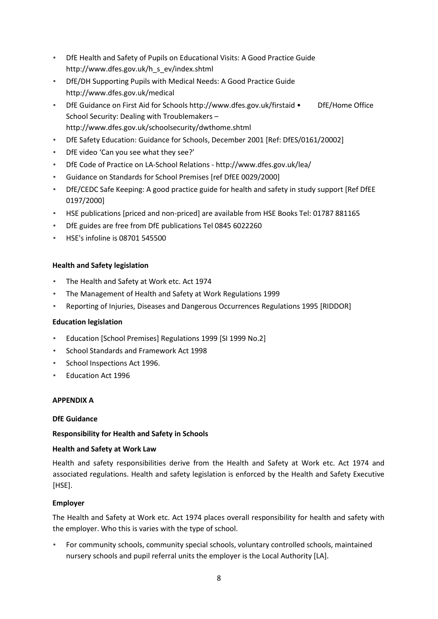- DfE Health and Safety of Pupils on Educational Visits: A Good Practice Guide http://www.dfes.gov.uk/h\_s\_ev/index.shtml
- DfE/DH Supporting Pupils with Medical Needs: A Good Practice Guide http://www.dfes.gov.uk/medical
- DfE Guidance on First Aid for Schools http://www.dfes.gov.uk/firstaid DfE/Home Office School Security: Dealing with Troublemakers – http://www.dfes.gov.uk/schoolsecurity/dwthome.shtml
- DfE Safety Education: Guidance for Schools, December 2001 [Ref: DfES/0161/20002]
- DfE video 'Can you see what they see?'
- DfE Code of Practice on LA-School Relations http://www.dfes.gov.uk/lea/
- Guidance on Standards for School Premises [ref DfEE 0029/2000]
- DfE/CEDC Safe Keeping: A good practice guide for health and safety in study support [Ref DfEE 0197/2000]
- HSE publications [priced and non-priced] are available from HSE Books Tel: 01787 881165
- DfE guides are free from DfE publications Tel 0845 6022260
- HSE's infoline is 08701 545500

# **Health and Safety legislation**

- The Health and Safety at Work etc. Act 1974
- The Management of Health and Safety at Work Regulations 1999
- Reporting of Injuries, Diseases and Dangerous Occurrences Regulations 1995 [RIDDOR]

#### **Education legislation**

- Education [School Premises] Regulations 1999 [SI 1999 No.2]
- School Standards and Framework Act 1998
- School Inspections Act 1996.
- Education Act 1996

#### **APPENDIX A**

#### **DfE Guidance**

# **Responsibility for Health and Safety in Schools**

# **Health and Safety at Work Law**

Health and safety responsibilities derive from the Health and Safety at Work etc. Act 1974 and associated regulations. Health and safety legislation is enforced by the Health and Safety Executive [HSE].

# **Employer**

The Health and Safety at Work etc. Act 1974 places overall responsibility for health and safety with the employer. Who this is varies with the type of school.

• For community schools, community special schools, voluntary controlled schools, maintained nursery schools and pupil referral units the employer is the Local Authority [LA].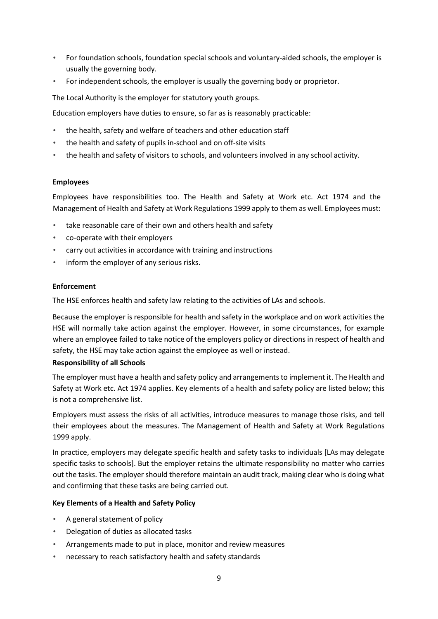- For foundation schools, foundation special schools and voluntary-aided schools, the employer is usually the governing body.
- For independent schools, the employer is usually the governing body or proprietor.

The Local Authority is the employer for statutory youth groups.

Education employers have duties to ensure, so far as is reasonably practicable:

- the health, safety and welfare of teachers and other education staff
- the health and safety of pupils in-school and on off-site visits
- the health and safety of visitors to schools, and volunteers involved in any school activity.

#### **Employees**

Employees have responsibilities too. The Health and Safety at Work etc. Act 1974 and the Management of Health and Safety at Work Regulations 1999 apply to them as well. Employees must:

- take reasonable care of their own and others health and safety
- co-operate with their employers
- carry out activities in accordance with training and instructions
- inform the employer of any serious risks.

#### **Enforcement**

The HSE enforces health and safety law relating to the activities of LAs and schools.

Because the employer is responsible for health and safety in the workplace and on work activities the HSE will normally take action against the employer. However, in some circumstances, for example where an employee failed to take notice of the employers policy or directions in respect of health and safety, the HSE may take action against the employee as well or instead.

#### **Responsibility of all Schools**

The employer must have a health and safety policy and arrangements to implement it. The Health and Safety at Work etc. Act 1974 applies. Key elements of a health and safety policy are listed below; this is not a comprehensive list.

Employers must assess the risks of all activities, introduce measures to manage those risks, and tell their employees about the measures. The Management of Health and Safety at Work Regulations 1999 apply.

In practice, employers may delegate specific health and safety tasks to individuals [LAs may delegate specific tasks to schools]. But the employer retains the ultimate responsibility no matter who carries out the tasks. The employer should therefore maintain an audit track, making clear who is doing what and confirming that these tasks are being carried out.

#### **Key Elements of a Health and Safety Policy**

- A general statement of policy
- Delegation of duties as allocated tasks
- Arrangements made to put in place, monitor and review measures
- necessary to reach satisfactory health and safety standards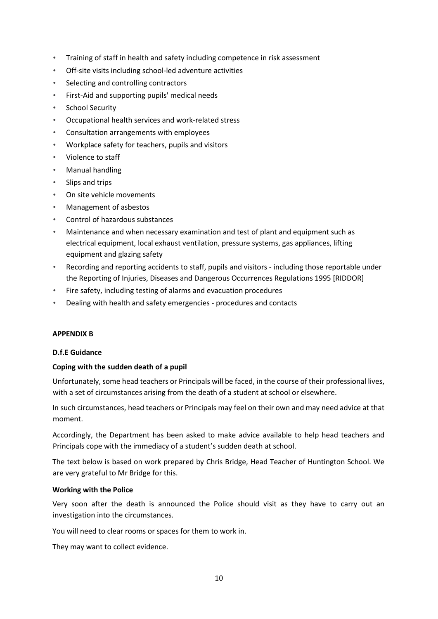- Training of staff in health and safety including competence in risk assessment
- Off-site visits including school-led adventure activities
- Selecting and controlling contractors
- First-Aid and supporting pupils' medical needs
- School Security
- Occupational health services and work-related stress
- Consultation arrangements with employees
- Workplace safety for teachers, pupils and visitors
- Violence to staff
- Manual handling
- Slips and trips
- On site vehicle movements
- Management of asbestos
- Control of hazardous substances
- Maintenance and when necessary examination and test of plant and equipment such as electrical equipment, local exhaust ventilation, pressure systems, gas appliances, lifting equipment and glazing safety
- Recording and reporting accidents to staff, pupils and visitors including those reportable under the Reporting of Injuries, Diseases and Dangerous Occurrences Regulations 1995 [RIDDOR]
- Fire safety, including testing of alarms and evacuation procedures
- Dealing with health and safety emergencies procedures and contacts

#### **APPENDIX B**

#### **D.f.E Guidance**

#### **Coping with the sudden death of a pupil**

Unfortunately, some head teachers or Principals will be faced, in the course of their professional lives, with a set of circumstances arising from the death of a student at school or elsewhere.

In such circumstances, head teachers or Principals may feel on their own and may need advice at that moment.

Accordingly, the Department has been asked to make advice available to help head teachers and Principals cope with the immediacy of a student's sudden death at school.

The text below is based on work prepared by Chris Bridge, Head Teacher of Huntington School. We are very grateful to Mr Bridge for this.

#### **Working with the Police**

Very soon after the death is announced the Police should visit as they have to carry out an investigation into the circumstances.

You will need to clear rooms or spaces for them to work in.

They may want to collect evidence.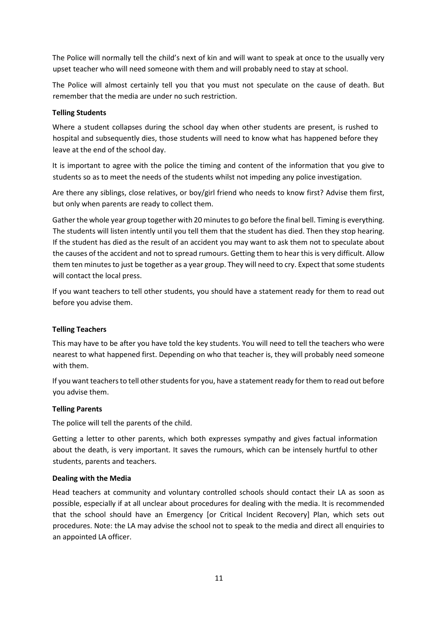The Police will normally tell the child's next of kin and will want to speak at once to the usually very upset teacher who will need someone with them and will probably need to stay at school.

The Police will almost certainly tell you that you must not speculate on the cause of death. But remember that the media are under no such restriction.

# **Telling Students**

Where a student collapses during the school day when other students are present, is rushed to hospital and subsequently dies, those students will need to know what has happened before they leave at the end of the school day.

It is important to agree with the police the timing and content of the information that you give to students so as to meet the needs of the students whilst not impeding any police investigation.

Are there any siblings, close relatives, or boy/girl friend who needs to know first? Advise them first, but only when parents are ready to collect them.

Gather the whole year group together with 20 minutes to go before the final bell. Timing is everything. The students will listen intently until you tell them that the student has died. Then they stop hearing. If the student has died as the result of an accident you may want to ask them not to speculate about the causes of the accident and not to spread rumours. Getting them to hear this is very difficult. Allow them ten minutes to just be together as a year group. They will need to cry. Expect that some students will contact the local press.

If you want teachers to tell other students, you should have a statement ready for them to read out before you advise them.

# **Telling Teachers**

This may have to be after you have told the key students. You will need to tell the teachers who were nearest to what happened first. Depending on who that teacher is, they will probably need someone with them.

If you want teachers to tell other students for you, have a statement ready for them to read out before you advise them.

#### **Telling Parents**

The police will tell the parents of the child.

Getting a letter to other parents, which both expresses sympathy and gives factual information about the death, is very important. It saves the rumours, which can be intensely hurtful to other students, parents and teachers.

#### **Dealing with the Media**

Head teachers at community and voluntary controlled schools should contact their LA as soon as possible, especially if at all unclear about procedures for dealing with the media. It is recommended that the school should have an Emergency [or Critical Incident Recovery] Plan, which sets out procedures. Note: the LA may advise the school not to speak to the media and direct all enquiries to an appointed LA officer.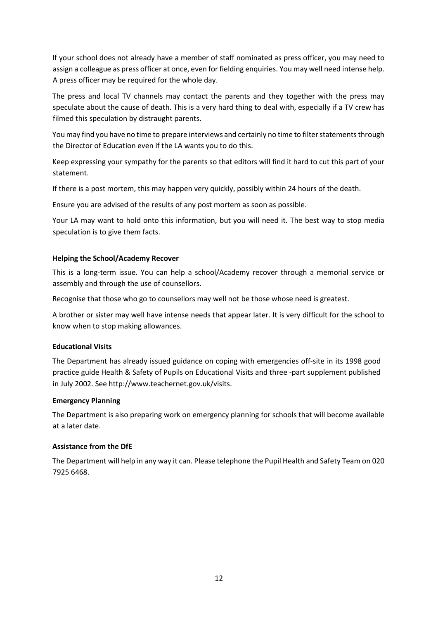If your school does not already have a member of staff nominated as press officer, you may need to assign a colleague as press officer at once, even for fielding enquiries. You may well need intense help. A press officer may be required for the whole day.

The press and local TV channels may contact the parents and they together with the press may speculate about the cause of death. This is a very hard thing to deal with, especially if a TV crew has filmed this speculation by distraught parents.

You may find you have no time to prepare interviews and certainly no time to filter statements through the Director of Education even if the LA wants you to do this.

Keep expressing your sympathy for the parents so that editors will find it hard to cut this part of your statement.

If there is a post mortem, this may happen very quickly, possibly within 24 hours of the death.

Ensure you are advised of the results of any post mortem as soon as possible.

Your LA may want to hold onto this information, but you will need it. The best way to stop media speculation is to give them facts.

# **Helping the School/Academy Recover**

This is a long-term issue. You can help a school/Academy recover through a memorial service or assembly and through the use of counsellors.

Recognise that those who go to counsellors may well not be those whose need is greatest.

A brother or sister may well have intense needs that appear later. It is very difficult for the school to know when to stop making allowances.

# **Educational Visits**

The Department has already issued guidance on coping with emergencies off-site in its 1998 good practice guide Health & Safety of Pupils on Educational Visits and three -part supplement published in July 2002. See http://www.teachernet.gov.uk/visits.

#### **Emergency Planning**

The Department is also preparing work on emergency planning for schools that will become available at a later date.

### **Assistance from the DfE**

The Department will help in any way it can. Please telephone the Pupil Health and Safety Team on 020 7925 6468.